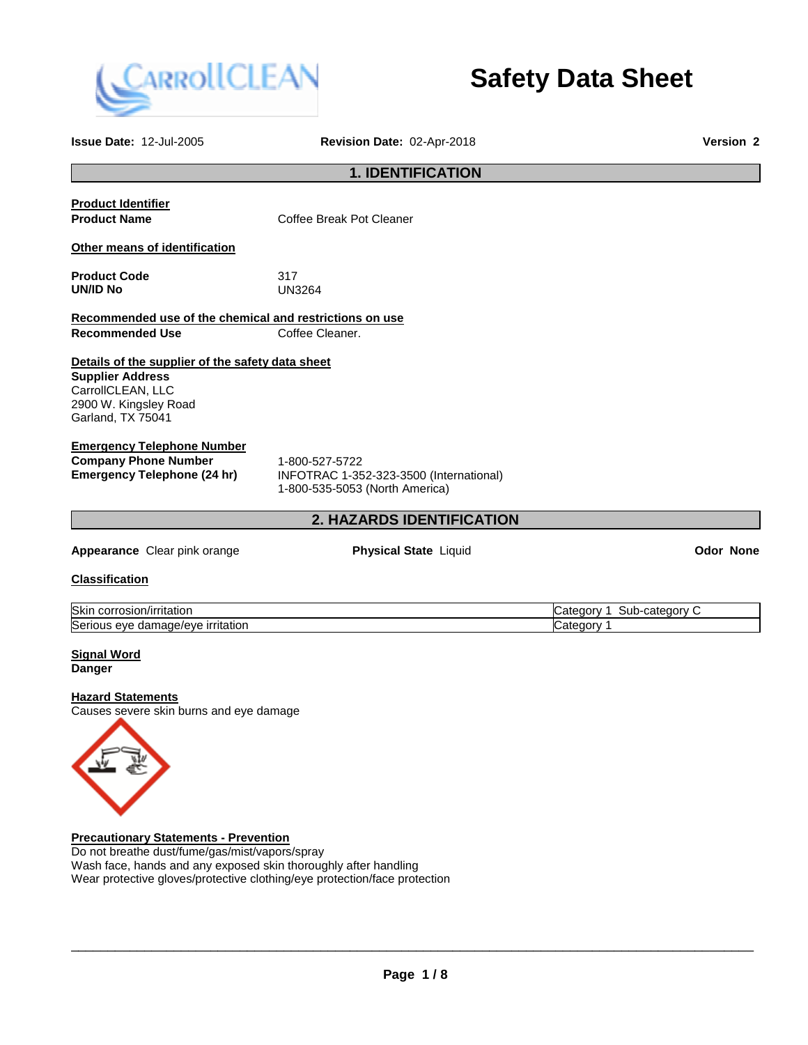

# **Safety Data Sheet**

| <b>1. IDENTIFICATION</b><br><b>Product Identifier</b><br><b>Product Name</b><br>Coffee Break Pot Cleaner<br>Other means of identification<br><b>Product Code</b><br>317<br><b>UN/ID No</b><br><b>UN3264</b><br>Recommended use of the chemical and restrictions on use<br><b>Recommended Use</b><br>Coffee Cleaner.<br>Details of the supplier of the safety data sheet<br><b>Supplier Address</b><br>CarrollCLEAN, LLC<br>2900 W. Kingsley Road<br>Garland, TX 75041<br><b>Emergency Telephone Number</b><br><b>Company Phone Number</b><br>1-800-527-5722<br><b>Emergency Telephone (24 hr)</b><br>INFOTRAC 1-352-323-3500 (International)<br>1-800-535-5053 (North America)<br>2. HAZARDS IDENTIFICATION<br><b>Physical State Liquid</b><br><b>Odor None</b><br>Appearance Clear pink orange<br><b>Classification</b> |  |
|--------------------------------------------------------------------------------------------------------------------------------------------------------------------------------------------------------------------------------------------------------------------------------------------------------------------------------------------------------------------------------------------------------------------------------------------------------------------------------------------------------------------------------------------------------------------------------------------------------------------------------------------------------------------------------------------------------------------------------------------------------------------------------------------------------------------------|--|
|                                                                                                                                                                                                                                                                                                                                                                                                                                                                                                                                                                                                                                                                                                                                                                                                                          |  |
|                                                                                                                                                                                                                                                                                                                                                                                                                                                                                                                                                                                                                                                                                                                                                                                                                          |  |
|                                                                                                                                                                                                                                                                                                                                                                                                                                                                                                                                                                                                                                                                                                                                                                                                                          |  |
|                                                                                                                                                                                                                                                                                                                                                                                                                                                                                                                                                                                                                                                                                                                                                                                                                          |  |
|                                                                                                                                                                                                                                                                                                                                                                                                                                                                                                                                                                                                                                                                                                                                                                                                                          |  |
|                                                                                                                                                                                                                                                                                                                                                                                                                                                                                                                                                                                                                                                                                                                                                                                                                          |  |
|                                                                                                                                                                                                                                                                                                                                                                                                                                                                                                                                                                                                                                                                                                                                                                                                                          |  |
|                                                                                                                                                                                                                                                                                                                                                                                                                                                                                                                                                                                                                                                                                                                                                                                                                          |  |
|                                                                                                                                                                                                                                                                                                                                                                                                                                                                                                                                                                                                                                                                                                                                                                                                                          |  |
|                                                                                                                                                                                                                                                                                                                                                                                                                                                                                                                                                                                                                                                                                                                                                                                                                          |  |
| Skin corrosion/irritation<br>Category 1 Sub-category C<br>Serious eye damage/eye irritation<br>Category 1                                                                                                                                                                                                                                                                                                                                                                                                                                                                                                                                                                                                                                                                                                                |  |
| <b>Signal Word</b><br><b>Danger</b>                                                                                                                                                                                                                                                                                                                                                                                                                                                                                                                                                                                                                                                                                                                                                                                      |  |
| <b>Hazard Statements</b><br>Causes severe skin burns and eye damage<br><b>Precautionary Statements - Prevention</b>                                                                                                                                                                                                                                                                                                                                                                                                                                                                                                                                                                                                                                                                                                      |  |

Do not breathe dust/fume/gas/mist/vapors/spray Wash face, hands and any exposed skin thoroughly after handling Wear protective gloves/protective clothing/eye protection/face protection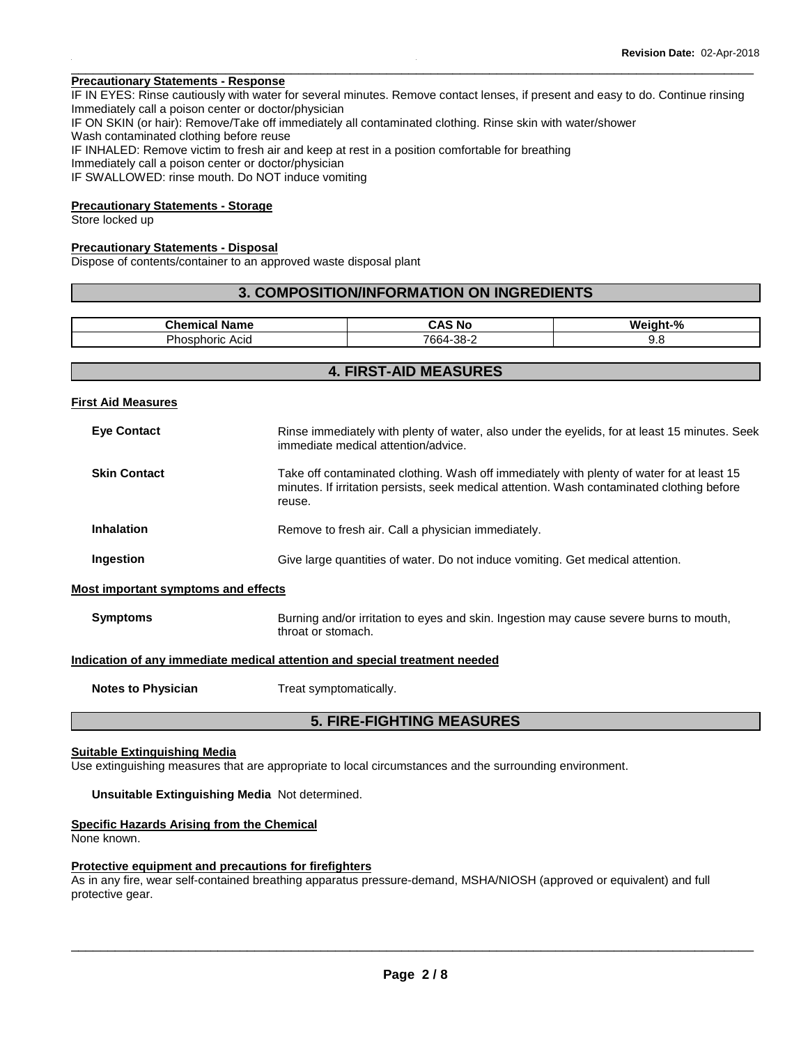## **Precautionary Statements - Response**

IF IN EYES: Rinse cautiously with water for several minutes. Remove contact lenses, if present and easy to do. Continue rinsing Immediately call a poison center or doctor/physician IF ON SKIN (or hair): Remove/Take off immediately all contaminated clothing. Rinse skin with water/shower Wash contaminated clothing before reuse IF INHALED: Remove victim to fresh air and keep at rest in a position comfortable for breathing Immediately call a poison center or doctor/physician IF SWALLOWED: rinse mouth. Do NOT induce vomiting

\_\_\_\_\_\_\_\_\_\_\_\_\_\_\_\_\_\_\_\_\_\_\_\_\_\_\_\_\_\_\_\_\_\_\_\_\_\_\_\_\_\_\_\_\_\_\_\_\_\_\_\_\_\_\_\_\_\_\_\_\_\_\_\_\_\_\_\_\_\_\_\_\_\_\_\_\_\_\_\_\_\_\_\_\_\_\_\_\_\_\_\_\_

# **Precautionary Statements - Storage**

Store locked up

#### **Precautionary Statements - Disposal**

Dispose of contents/container to an approved waste disposal plant

#### **3. COMPOSITION/INFORMATION ON INGREDIENTS**

| $P_{\text{hame}}$<br>Name         | MC N<br>÷<br>$-11$               | - 04<br>w. |
|-----------------------------------|----------------------------------|------------|
| Acıd<br>$ -$<br>noric<br>ากร<br>- | 7664-<br>ററ<br>$\sim$<br>ື<br>-- | J.J        |

## **4. FIRST-AID MEASURES**

**First Aid Measures**

| <b>Eye Contact</b>                  | Rinse immediately with plenty of water, also under the eyelids, for at least 15 minutes. Seek<br>immediate medical attention/advice.                                                              |
|-------------------------------------|---------------------------------------------------------------------------------------------------------------------------------------------------------------------------------------------------|
| <b>Skin Contact</b>                 | Take off contaminated clothing. Wash off immediately with plenty of water for at least 15<br>minutes. If irritation persists, seek medical attention. Wash contaminated clothing before<br>reuse. |
| <b>Inhalation</b>                   | Remove to fresh air. Call a physician immediately.                                                                                                                                                |
| Ingestion                           | Give large quantities of water. Do not induce vomiting. Get medical attention.                                                                                                                    |
| Most important symptoms and effects |                                                                                                                                                                                                   |
|                                     |                                                                                                                                                                                                   |

# **Indication of any immediate medical attention and special treatment needed**

throat or stomach.

**Notes to Physician**  Treat symptomatically.

# **5. FIRE-FIGHTING MEASURES**

**Symptoms Burning and/or irritation to eyes and skin. Ingestion may cause severe burns to mouth,** 

#### **Suitable Extinguishing Media**

Use extinguishing measures that are appropriate to local circumstances and the surrounding environment.

**Unsuitable Extinguishing Media** Not determined.

#### **Specific Hazards Arising from the Chemical**

None known.

#### **Protective equipment and precautions for firefighters**

As in any fire, wear self-contained breathing apparatus pressure-demand, MSHA/NIOSH (approved or equivalent) and full protective gear.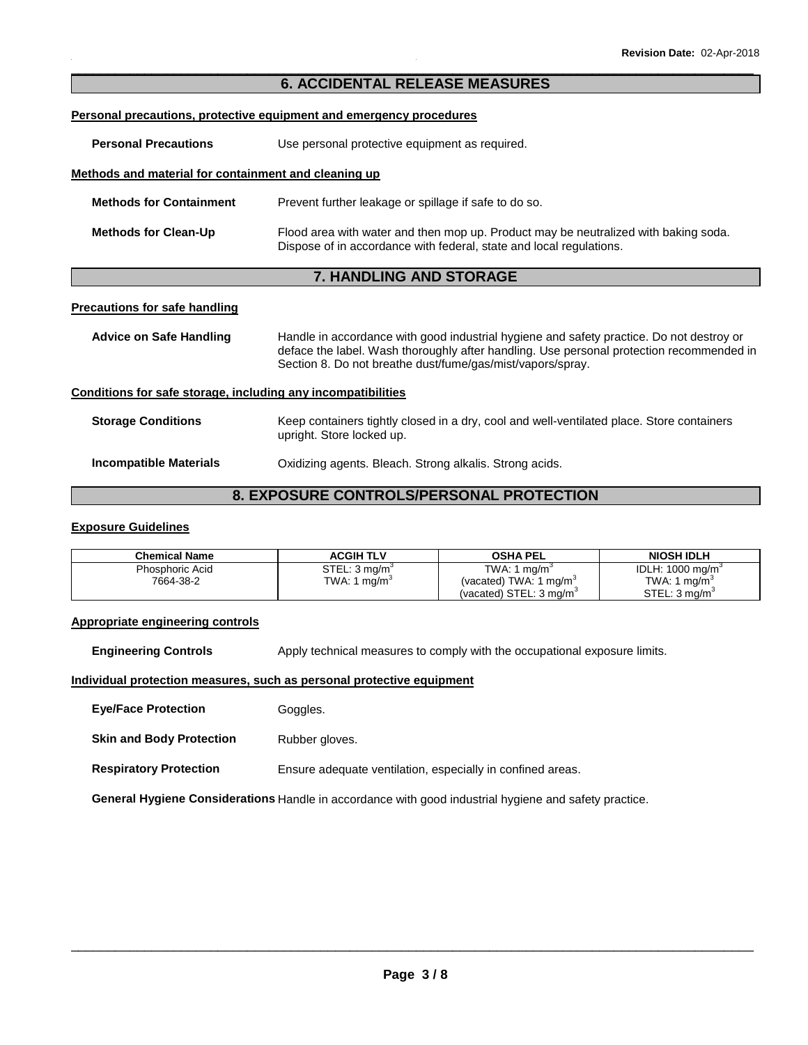# \_\_\_\_\_\_\_\_\_\_\_\_\_\_\_\_\_\_\_\_\_\_\_\_\_\_\_\_\_\_\_\_\_\_\_\_\_\_\_\_\_\_\_\_\_\_\_\_\_\_\_\_\_\_\_\_\_\_\_\_\_\_\_\_\_\_\_\_\_\_\_\_\_\_\_\_\_\_\_\_\_\_\_\_\_\_\_\_\_\_\_\_\_ **6. ACCIDENTAL RELEASE MEASURES**

#### **Personal precautions, protective equipment and emergency procedures**

**Personal Precautions Use personal protective equipment as required.** 

#### **Methods and material for containment and cleaning up**

| <b>Methods for Containment</b> | Prevent further leakage or spillage if safe to do so.                                                                                                      |
|--------------------------------|------------------------------------------------------------------------------------------------------------------------------------------------------------|
| <b>Methods for Clean-Up</b>    | Flood area with water and then mop up. Product may be neutralized with baking soda.<br>Dispose of in accordance with federal, state and local regulations. |

# **7. HANDLING AND STORAGE**

#### **Precautions for safe handling**

| Advice on Safe Handling                                      | Handle in accordance with good industrial hygiene and safety practice. Do not destroy or<br>deface the label. Wash thoroughly after handling. Use personal protection recommended in<br>Section 8. Do not breathe dust/fume/gas/mist/vapors/spray. |
|--------------------------------------------------------------|----------------------------------------------------------------------------------------------------------------------------------------------------------------------------------------------------------------------------------------------------|
| Conditions for safe storage, including any incompatibilities |                                                                                                                                                                                                                                                    |

# **Storage Conditions** Keep containers tightly closed in a dry, cool and well-ventilated place. Store containers upright. Store locked up.

| <b>Incompatible Materials</b> | Oxidizing agents. Bleach. Strong alkalis. Strong acids. |  |
|-------------------------------|---------------------------------------------------------|--|
|                               |                                                         |  |

# **8. EXPOSURE CONTROLS/PERSONAL PROTECTION**

#### **Exposure Guidelines**

| <b>Chemical Name</b> | <b>ACGIH TLV</b>          | <b>OSHA PEL</b>                    | <b>NIOSH IDLH</b>           |
|----------------------|---------------------------|------------------------------------|-----------------------------|
| Phosphoric Acid      | STEL: 3 mg/m <sup>3</sup> | TWA: 1 $mq/m3$                     | IDLH: $1000 \text{ mg/m}^3$ |
| 7664-38-2            | TWA: 1 $ma/m3$            | (vacated) TWA: 1 mg/m <sup>3</sup> | TWA: 1 $ma/m3$              |
|                      |                           | (vacated) STEL: $3 \text{ ma/m}^3$ | STEL: 3 ma/m <sup>3</sup>   |

#### **Appropriate engineering controls**

**Engineering Controls Apply technical measures to comply with the occupational exposure limits.** 

#### **Individual protection measures, such as personal protective equipment**

**Eye/Face Protection Goggles.** 

**Skin and Body Protection** Rubber gloves.

**Respiratory Protection Ensure adequate ventilation, especially in confined areas.** 

**General Hygiene Considerations** Handle in accordance with good industrial hygiene and safety practice.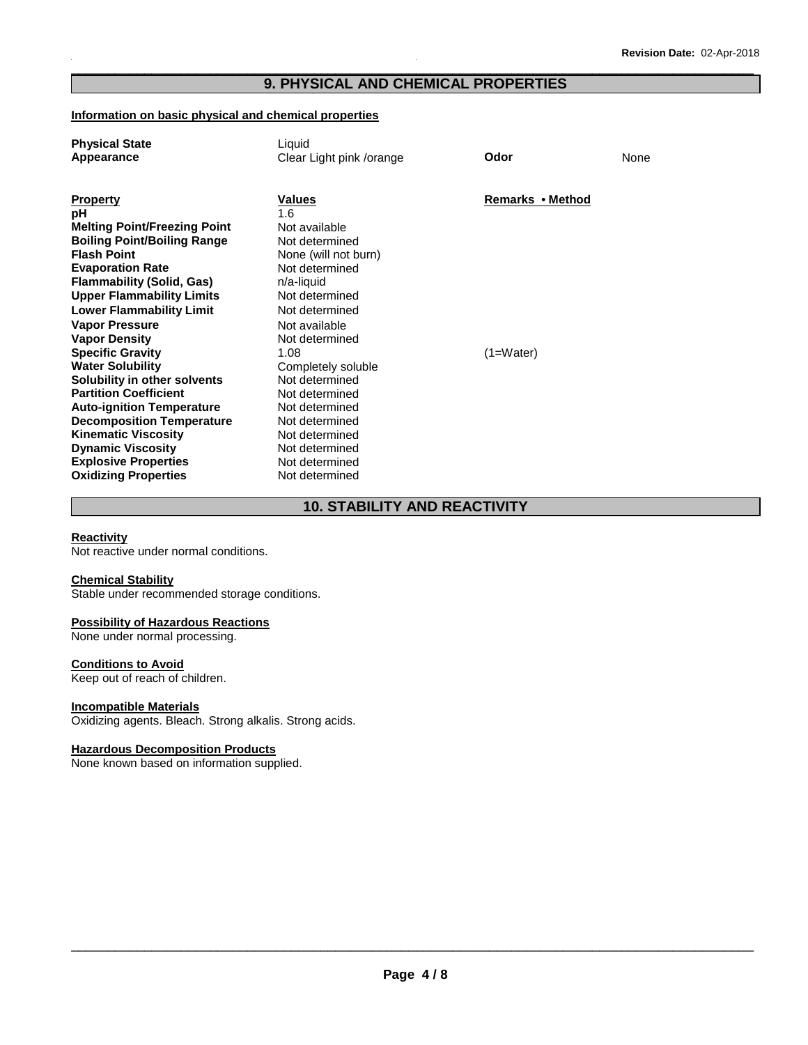# \_\_\_\_\_\_\_\_\_\_\_\_\_\_\_\_\_\_\_\_\_\_\_\_\_\_\_\_\_\_\_\_\_\_\_\_\_\_\_\_\_\_\_\_\_\_\_\_\_\_\_\_\_\_\_\_\_\_\_\_\_\_\_\_\_\_\_\_\_\_\_\_\_\_\_\_\_\_\_\_\_\_\_\_\_\_\_\_\_\_\_\_\_ **9. PHYSICAL AND CHEMICAL PROPERTIES**

#### **Information on basic physical and chemical properties**

| <b>Physical State</b>               | Liquid                   |                  |      |
|-------------------------------------|--------------------------|------------------|------|
| Appearance                          | Clear Light pink /orange | Odor             | None |
|                                     |                          |                  |      |
|                                     |                          |                  |      |
| <b>Property</b>                     | <b>Values</b>            | Remarks • Method |      |
| рH                                  | 1.6                      |                  |      |
| <b>Melting Point/Freezing Point</b> | Not available            |                  |      |
| <b>Boiling Point/Boiling Range</b>  | Not determined           |                  |      |
| <b>Flash Point</b>                  | None (will not burn)     |                  |      |
| <b>Evaporation Rate</b>             | Not determined           |                  |      |
| <b>Flammability (Solid, Gas)</b>    | $n/a$ -liquid            |                  |      |
| <b>Upper Flammability Limits</b>    | Not determined           |                  |      |
| <b>Lower Flammability Limit</b>     | Not determined           |                  |      |
| <b>Vapor Pressure</b>               | Not available            |                  |      |
| <b>Vapor Density</b>                | Not determined           |                  |      |
| <b>Specific Gravity</b>             | 1.08                     | $(1=Water)$      |      |
| <b>Water Solubility</b>             | Completely soluble       |                  |      |
| Solubility in other solvents        | Not determined           |                  |      |
| <b>Partition Coefficient</b>        | Not determined           |                  |      |
| <b>Auto-ignition Temperature</b>    | Not determined           |                  |      |
| <b>Decomposition Temperature</b>    | Not determined           |                  |      |
| <b>Kinematic Viscosity</b>          | Not determined           |                  |      |
| <b>Dynamic Viscosity</b>            | Not determined           |                  |      |
| <b>Explosive Properties</b>         | Not determined           |                  |      |
| <b>Oxidizing Properties</b>         | Not determined           |                  |      |

# **10. STABILITY AND REACTIVITY**

#### **Reactivity**

Not reactive under normal conditions.

## **Chemical Stability**

Stable under recommended storage conditions.

#### **Possibility of Hazardous Reactions**

None under normal processing.

# **Conditions to Avoid**

Keep out of reach of children.

#### **Incompatible Materials**

Oxidizing agents. Bleach. Strong alkalis. Strong acids.

#### **Hazardous Decomposition Products**

None known based on information supplied.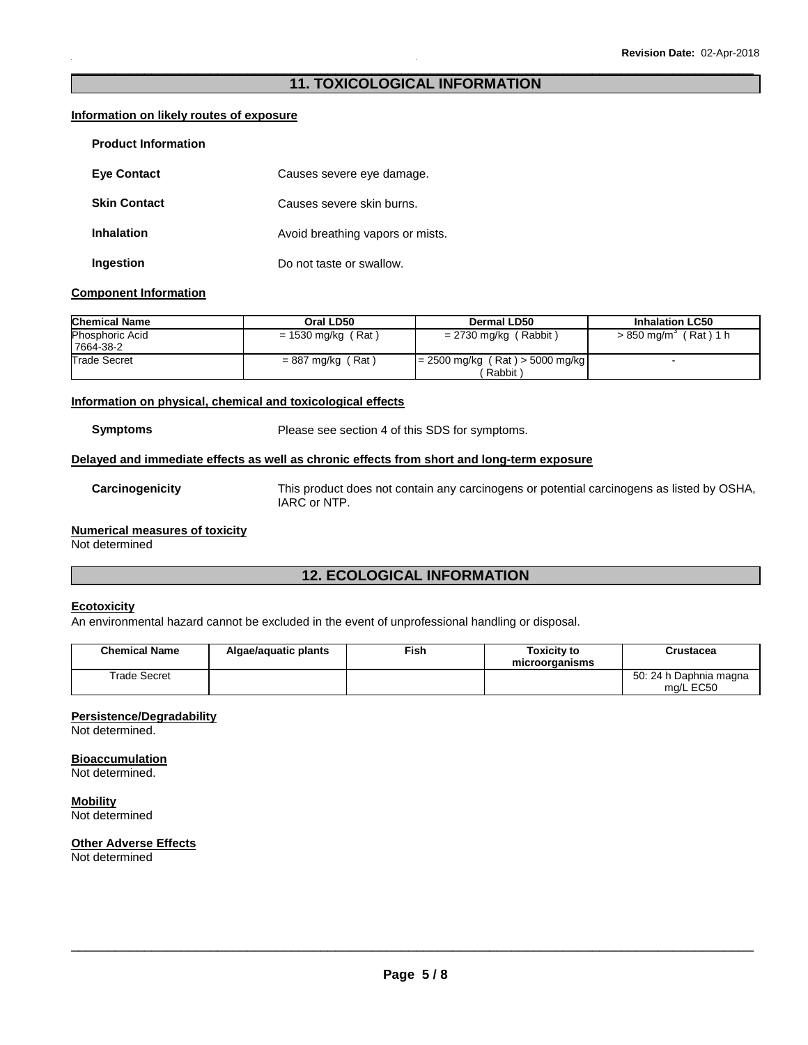# \_\_\_\_\_\_\_\_\_\_\_\_\_\_\_\_\_\_\_\_\_\_\_\_\_\_\_\_\_\_\_\_\_\_\_\_\_\_\_\_\_\_\_\_\_\_\_\_\_\_\_\_\_\_\_\_\_\_\_\_\_\_\_\_\_\_\_\_\_\_\_\_\_\_\_\_\_\_\_\_\_\_\_\_\_\_\_\_\_\_\_\_\_ **11. TOXICOLOGICAL INFORMATION**

#### **Information on likely routes of exposure**

| <b>Product Information</b> |                                  |
|----------------------------|----------------------------------|
| <b>Eye Contact</b>         | Causes severe eye damage.        |
| <b>Skin Contact</b>        | Causes severe skin burns.        |
| <b>Inhalation</b>          | Avoid breathing vapors or mists. |
| Ingestion                  | Do not taste or swallow.         |

#### **Component Information**

| <b>Chemical Name</b>                | Oral LD50           | Dermal LD50                                  | <b>Inhalation LC50</b>            |
|-------------------------------------|---------------------|----------------------------------------------|-----------------------------------|
| <b>Phosphoric Acid</b><br>7664-38-2 | = 1530 mg/kg (Rat)  | $= 2730$ mg/kg (Rabbit)                      | > 850 mg/m <sup>3</sup> (Rat) 1 h |
| <b>Trade Secret</b>                 | $= 887$ mg/kg (Rat) | $= 2500$ mg/kg (Rat) > 5000 mg/kg<br>Rabbit) |                                   |

#### **Information on physical, chemical and toxicological effects**

**Symptoms** Please see section 4 of this SDS for symptoms.

#### **Delayed and immediate effects as well as chronic effects from short and long-term exposure**

**Carcinogenicity** This product does not contain any carcinogens or potential carcinogens as listed by OSHA, IARC or NTP.

# **Numerical measures of toxicity**

Not determined

# **12. ECOLOGICAL INFORMATION**

## **Ecotoxicity**

An environmental hazard cannot be excluded in the event of unprofessional handling or disposal.

| <b>Chemical Name</b> | Algae/aguatic plants | ™ish | Toxicitv to<br>microorganisms | Crustacea                           |
|----------------------|----------------------|------|-------------------------------|-------------------------------------|
| <b>Trade Secret</b>  |                      |      |                               | 50: 24 h Daphnia magna<br>ma/L EC50 |

#### **Persistence/Degradability**

Not determined.

# **Bioaccumulation**

Not determined.

**Mobility** Not determined

# **Other Adverse Effects**

Not determined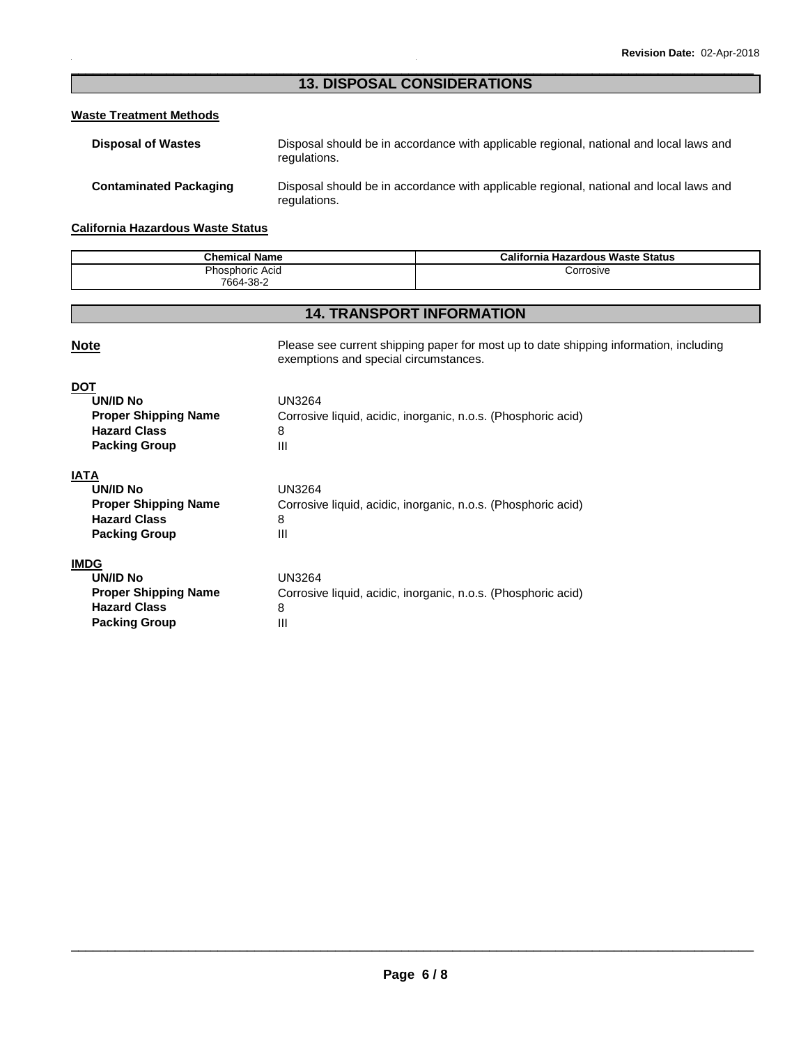# \_\_\_\_\_\_\_\_\_\_\_\_\_\_\_\_\_\_\_\_\_\_\_\_\_\_\_\_\_\_\_\_\_\_\_\_\_\_\_\_\_\_\_\_\_\_\_\_\_\_\_\_\_\_\_\_\_\_\_\_\_\_\_\_\_\_\_\_\_\_\_\_\_\_\_\_\_\_\_\_\_\_\_\_\_\_\_\_\_\_\_\_\_ **13. DISPOSAL CONSIDERATIONS**

# **Waste Treatment Methods**

| <b>Disposal of Wastes</b>     | Disposal should be in accordance with applicable regional, national and local laws and<br>regulations. |
|-------------------------------|--------------------------------------------------------------------------------------------------------|
| <b>Contaminated Packaging</b> | Disposal should be in accordance with applicable regional, national and local laws and<br>regulations. |

# **California Hazardous Waste Status**

**Packing Group 111** 

| <b>Chemical Name</b> | <b>California Hazardous Waste Status</b> |
|----------------------|------------------------------------------|
| Phosphoric Acid      | Corrosive                                |
| 7664-38-2            |                                          |

# **14. TRANSPORT INFORMATION**

| <b>Note</b>                                                                                          | Please see current shipping paper for most up to date shipping information, including<br>exemptions and special circumstances. |
|------------------------------------------------------------------------------------------------------|--------------------------------------------------------------------------------------------------------------------------------|
| <b>DOT</b><br>UN/ID No<br><b>Proper Shipping Name</b><br><b>Hazard Class</b><br><b>Packing Group</b> | UN3264<br>Corrosive liquid, acidic, inorganic, n.o.s. (Phosphoric acid)<br>8<br>Ш                                              |
| IATA<br>UN/ID No<br><b>Proper Shipping Name</b><br><b>Hazard Class</b><br><b>Packing Group</b>       | <b>UN3264</b><br>Corrosive liquid, acidic, inorganic, n.o.s. (Phosphoric acid)<br>8<br>Ш                                       |
| <b>IMDG</b><br><b>UN/ID No</b><br><b>Proper Shipping Name</b><br><b>Hazard Class</b>                 | <b>UN3264</b><br>Corrosive liquid, acidic, inorganic, n.o.s. (Phosphoric acid)<br>8                                            |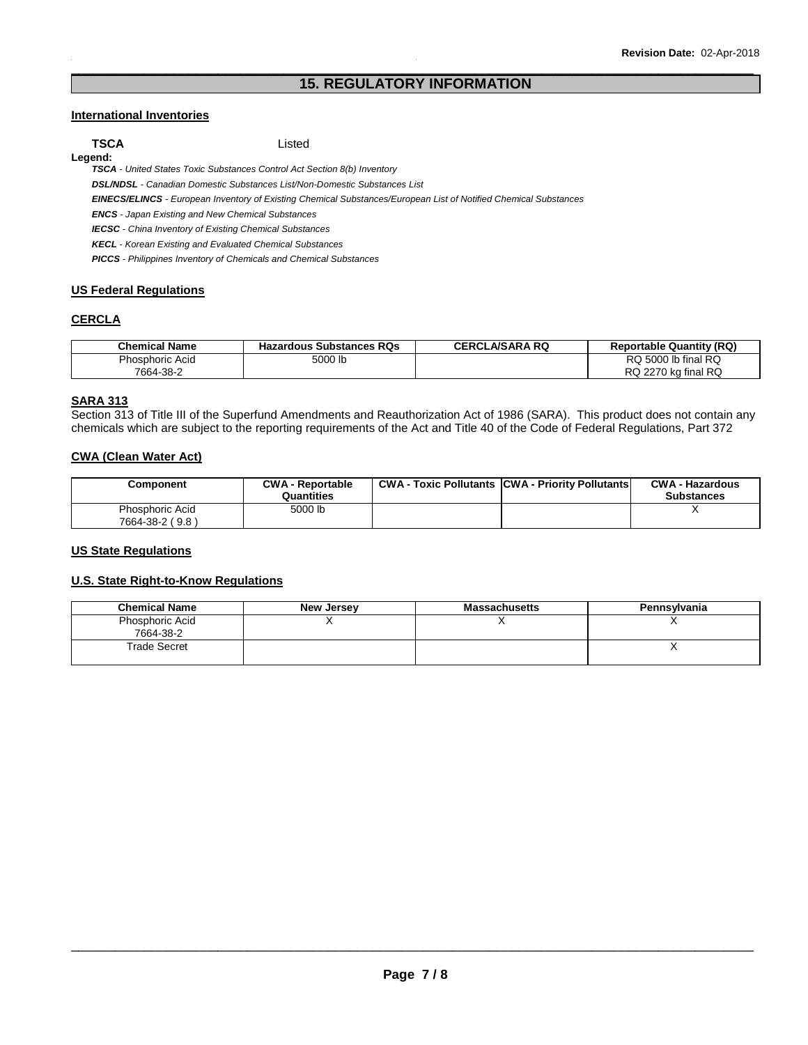# \_\_\_\_\_\_\_\_\_\_\_\_\_\_\_\_\_\_\_\_\_\_\_\_\_\_\_\_\_\_\_\_\_\_\_\_\_\_\_\_\_\_\_\_\_\_\_\_\_\_\_\_\_\_\_\_\_\_\_\_\_\_\_\_\_\_\_\_\_\_\_\_\_\_\_\_\_\_\_\_\_\_\_\_\_\_\_\_\_\_\_\_\_ **15. REGULATORY INFORMATION**

## **International Inventories**

**TSCA** Listed **Legend:** 

**TSCA** - United States Toxic Substances Control Act Section 8(b) Inventory

**DSL/NDSL** - Canadian Domestic Substances List/Non-Domestic Substances List

**EINECS/ELINCS** - European Inventory of Existing Chemical Substances/European List of Notified Chemical Substances

**ENCS** - Japan Existing and New Chemical Substances

**IECSC** - China Inventory of Existing Chemical Substances

**KECL** - Korean Existing and Evaluated Chemical Substances

**PICCS** - Philippines Inventory of Chemicals and Chemical Substances

# **US Federal Regulations**

## **CERCLA**

| <b>Chemical Name</b>   | <b>Hazardous Substances RQs</b> | <b>CERCLA/SARA RQ</b> | <b>Reportable Quantity (RQ)</b> |
|------------------------|---------------------------------|-----------------------|---------------------------------|
| <b>Phosphoric Acid</b> | 5000 lb                         |                       | I RQ<br><b>RQ 5000 lb final</b> |
| 7664-38-2              |                                 |                       | RQ 2270 kg final RQ             |

## **SARA 313**

Section 313 of Title III of the Superfund Amendments and Reauthorization Act of 1986 (SARA). This product does not contain any chemicals which are subject to the reporting requirements of the Act and Title 40 of the Code of Federal Regulations, Part 372

# **CWA (Clean Water Act)**

| Component                          | <b>CWA - Reportable</b><br>Quantities | <b>CWA - Toxic Pollutants CWA - Priority Pollutants</b> | <b>CWA - Hazardous</b><br><b>Substances</b> |
|------------------------------------|---------------------------------------|---------------------------------------------------------|---------------------------------------------|
| Phosphoric Acid<br>7664-38-2 (9.8) | 5000 lb                               |                                                         |                                             |

#### **US State Regulations**

#### **U.S. State Right-to-Know Regulations**

| <b>Chemical Name</b>         | <b>New Jersey</b> | <b>Massachusetts</b> | Pennsylvania |
|------------------------------|-------------------|----------------------|--------------|
| Phosphoric Acid<br>7664-38-2 |                   |                      |              |
| Trade Secret                 |                   |                      |              |